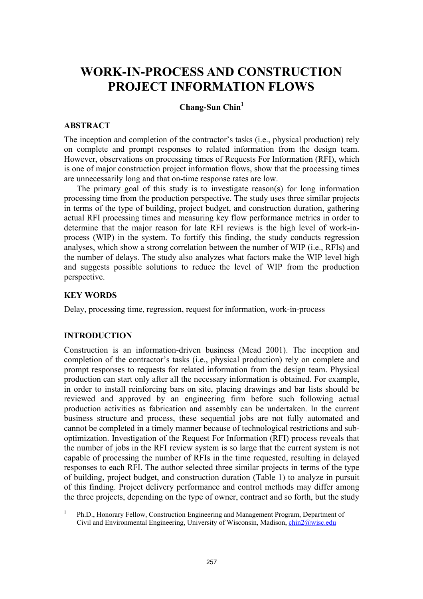# **WORK-IN-PROCESS AND CONSTRUCTION PROJECT INFORMATION FLOWS**

# **Chang-Sun Chin1**

#### **ABSTRACT**

The inception and completion of the contractor's tasks (i.e., physical production) rely on complete and prompt responses to related information from the design team. However, observations on processing times of Requests For Information (RFI), which is one of major construction project information flows, show that the processing times are unnecessarily long and that on-time response rates are low.

The primary goal of this study is to investigate reason(s) for long information processing time from the production perspective. The study uses three similar projects in terms of the type of building, project budget, and construction duration, gathering actual RFI processing times and measuring key flow performance metrics in order to determine that the major reason for late RFI reviews is the high level of work-inprocess (WIP) in the system. To fortify this finding, the study conducts regression analyses, which show a strong correlation between the number of WIP (i.e., RFIs) and the number of delays. The study also analyzes what factors make the WIP level high and suggests possible solutions to reduce the level of WIP from the production perspective.

# **KEY WORDS**

Delay, processing time, regression, request for information, work-in-process

# **INTRODUCTION**

Construction is an information-driven business (Mead 2001). The inception and completion of the contractor's tasks (i.e., physical production) rely on complete and prompt responses to requests for related information from the design team. Physical production can start only after all the necessary information is obtained. For example, in order to install reinforcing bars on site, placing drawings and bar lists should be reviewed and approved by an engineering firm before such following actual production activities as fabrication and assembly can be undertaken. In the current business structure and process, these sequential jobs are not fully automated and cannot be completed in a timely manner because of technological restrictions and suboptimization. Investigation of the Request For Information (RFI) process reveals that the number of jobs in the RFI review system is so large that the current system is not capable of processing the number of RFIs in the time requested, resulting in delayed responses to each RFI. The author selected three similar projects in terms of the type of building, project budget, and construction duration (Table 1) to analyze in pursuit of this finding. Project delivery performance and control methods may differ among the three projects, depending on the type of owner, contract and so forth, but the study

<sup>|&</sup>lt;br>|<br>| Ph.D., Honorary Fellow, Construction Engineering and Management Program, Department of Civil and Environmental Engineering, University of Wisconsin, Madison, chin2@wisc.edu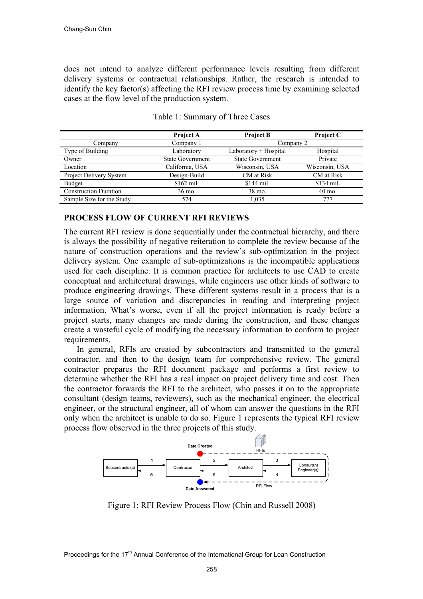does not intend to analyze different performance levels resulting from different delivery systems or contractual relationships. Rather, the research is intended to identify the key factor(s) affecting the RFI review process time by examining selected cases at the flow level of the production system.

|                              | Project A               | <b>Project B</b>        | <b>Project C</b> |  |
|------------------------------|-------------------------|-------------------------|------------------|--|
| Company                      | Company 1               |                         | Company 2        |  |
| Type of Building             | Laboratory              | $Laboratory + Hospital$ | Hospital         |  |
| Owner                        | <b>State Government</b> | <b>State Government</b> | Private          |  |
| Location                     | California, USA         | Wisconsin, USA          | Wisconsin, USA   |  |
| Project Delivery System      | Design-Build            | CM at Risk              | CM at Risk       |  |
| Budget                       | $$162$ mil.             | $$144$ mil.             | \$134 mil.       |  |
| <b>Construction Duration</b> | 36 mo.                  | 38 mo.                  | $40$ mo.         |  |
| Sample Size for the Study    | 574                     | 1.035                   | 777              |  |

Table 1: Summary of Three Cases

# **PROCESS FLOW OF CURRENT RFI REVIEWS**

The current RFI review is done sequentially under the contractual hierarchy, and there is always the possibility of negative reiteration to complete the review because of the nature of construction operations and the review's sub-optimization in the project delivery system. One example of sub-optimizations is the incompatible applications used for each discipline. It is common practice for architects to use CAD to create conceptual and architectural drawings, while engineers use other kinds of software to produce engineering drawings. These different systems result in a process that is a large source of variation and discrepancies in reading and interpreting project information. What's worse, even if all the project information is ready before a project starts, many changes are made during the construction, and these changes create a wasteful cycle of modifying the necessary information to conform to project requirements.

In general, RFIs are created by subcontractors and transmitted to the general contractor, and then to the design team for comprehensive review. The general contractor prepares the RFI document package and performs a first review to determine whether the RFI has a real impact on project delivery time and cost. Then the contractor forwards the RFI to the architect, who passes it on to the appropriate consultant (design teams, reviewers), such as the mechanical engineer, the electrical engineer, or the structural engineer, all of whom can answer the questions in the RFI only when the architect is unable to do so. Figure 1 represents the typical RFI review process flow observed in the three projects of this study.



Figure 1: RFI Review Process Flow (Chin and Russell 2008)

Proceedings for the 17<sup>th</sup> Annual Conference of the International Group for Lean Construction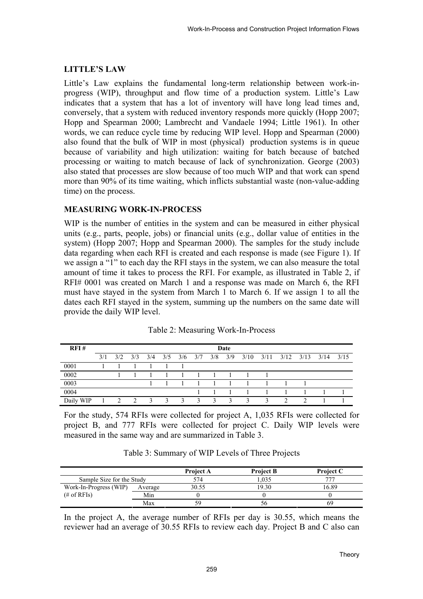# **LITTLE'S LAW**

Little's Law explains the fundamental long-term relationship between work-inprogress (WIP), throughput and flow time of a production system. Little's Law indicates that a system that has a lot of inventory will have long lead times and, conversely, that a system with reduced inventory responds more quickly (Hopp 2007; Hopp and Spearman 2000; Lambrecht and Vandaele 1994; Little 1961). In other words, we can reduce cycle time by reducing WIP level. Hopp and Spearman (2000) also found that the bulk of WIP in most (physical) production systems is in queue because of variability and high utilization: waiting for batch because of batched processing or waiting to match because of lack of synchronization. George (2003) also stated that processes are slow because of too much WIP and that work can spend more than 90% of its time waiting, which inflicts substantial waste (non-value-adding time) on the process.

# **MEASURING WORK-IN-PROCESS**

WIP is the number of entities in the system and can be measured in either physical units (e.g., parts, people, jobs) or financial units (e.g., dollar value of entities in the system) (Hopp 2007; Hopp and Spearman 2000). The samples for the study include data regarding when each RFI is created and each response is made (see Figure 1). If we assign a "1" to each day the RFI stays in the system, we can also measure the total amount of time it takes to process the RFI. For example, as illustrated in Table 2, if RFI# 0001 was created on March 1 and a response was made on March 6, the RFI must have stayed in the system from March 1 to March 6. If we assign 1 to all the dates each RFI stayed in the system, summing up the numbers on the same date will provide the daily WIP level.

| RFI#      | Date |     |               |     |              |              |              |     |              |      |      |      |      |      |      |
|-----------|------|-----|---------------|-----|--------------|--------------|--------------|-----|--------------|------|------|------|------|------|------|
|           | 3/1  | 3/2 | 3/3           | 3/4 | 3/5          | 3/6          | 3/7          | 3/8 | 3/9          | 3/10 | 3/11 | 3/12 | 3/13 | 3/14 | 3/15 |
| 0001      |      |     |               |     |              |              |              |     |              |      |      |      |      |      |      |
| 0002      |      |     |               |     |              |              |              |     |              |      |      |      |      |      |      |
| 0003      |      |     |               |     |              |              |              |     |              |      |      |      |      |      |      |
| 0004      |      |     |               |     |              |              |              |     |              |      |      |      |      |      |      |
| Daily WIP |      | 2   | $\mathcal{D}$ | 3   | $\mathbf{R}$ | $\mathbf{R}$ | $\mathbf{R}$ | 3   | $\mathbf{R}$ | 3    | 3    |      |      |      |      |

| Table 2: Measuring Work-In-Process |  |
|------------------------------------|--|
|------------------------------------|--|

For the study, 574 RFIs were collected for project A, 1,035 RFIs were collected for project B, and 777 RFIs were collected for project C. Daily WIP levels were measured in the same way and are summarized in Table 3.

| Table 3: Summary of WIP Levels of Three Projects |  |  |  |  |
|--------------------------------------------------|--|--|--|--|
|--------------------------------------------------|--|--|--|--|

|                           |         | <b>Project A</b> | <b>Project B</b> | <b>Project C</b> |
|---------------------------|---------|------------------|------------------|------------------|
| Sample Size for the Study |         | 574              | .035             |                  |
| Work-In-Progress (WIP)    | Average | 30.55            | 19.30            | 16.89            |
| $#$ of RFIs)              | Min     |                  |                  |                  |
|                           | Max     | 59               | 56               | 69               |

In the project A, the average number of RFIs per day is 30.55, which means the reviewer had an average of 30.55 RFIs to review each day. Project B and C also can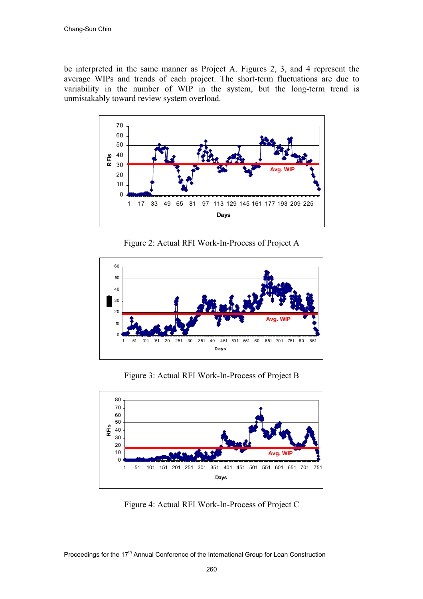be interpreted in the same manner as Project A. Figures 2, 3, and 4 represent the average WIPs and trends of each project. The short-term fluctuations are due to variability in the number of WIP in the system, but the long-term trend is unmistakably toward review system overload.



Figure 2: Actual RFI Work-In-Process of Project A



Figure 3: Actual RFI Work-In-Process of Project B



Figure 4: Actual RFI Work-In-Process of Project C

Proceedings for the 17<sup>th</sup> Annual Conference of the International Group for Lean Construction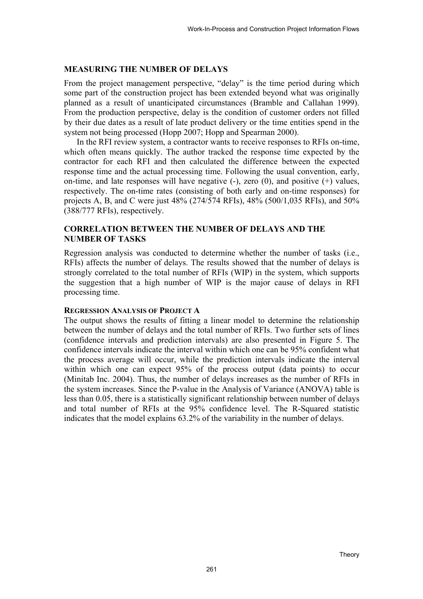#### **MEASURING THE NUMBER OF DELAYS**

From the project management perspective, "delay" is the time period during which some part of the construction project has been extended beyond what was originally planned as a result of unanticipated circumstances (Bramble and Callahan 1999). From the production perspective, delay is the condition of customer orders not filled by their due dates as a result of late product delivery or the time entities spend in the system not being processed (Hopp 2007; Hopp and Spearman 2000).

In the RFI review system, a contractor wants to receive responses to RFIs on-time, which often means quickly. The author tracked the response time expected by the contractor for each RFI and then calculated the difference between the expected response time and the actual processing time. Following the usual convention, early, on-time, and late responses will have negative  $(-)$ , zero  $(0)$ , and positive  $(+)$  values, respectively. The on-time rates (consisting of both early and on-time responses) for projects A, B, and C were just 48% (274/574 RFIs), 48% (500/1,035 RFIs), and 50% (388/777 RFIs), respectively.

# **CORRELATION BETWEEN THE NUMBER OF DELAYS AND THE NUMBER OF TASKS**

Regression analysis was conducted to determine whether the number of tasks (i.e., RFIs) affects the number of delays. The results showed that the number of delays is strongly correlated to the total number of RFIs (WIP) in the system, which supports the suggestion that a high number of WIP is the major cause of delays in RFI processing time.

#### **REGRESSION ANALYSIS OF PROJECT A**

The output shows the results of fitting a linear model to determine the relationship between the number of delays and the total number of RFIs. Two further sets of lines (confidence intervals and prediction intervals) are also presented in Figure 5. The confidence intervals indicate the interval within which one can be 95% confident what the process average will occur, while the prediction intervals indicate the interval within which one can expect 95% of the process output (data points) to occur (Minitab Inc. 2004). Thus, the number of delays increases as the number of RFIs in the system increases. Since the P-value in the Analysis of Variance (ANOVA) table is less than 0.05, there is a statistically significant relationship between number of delays and total number of RFIs at the 95% confidence level. The R-Squared statistic indicates that the model explains 63.2% of the variability in the number of delays.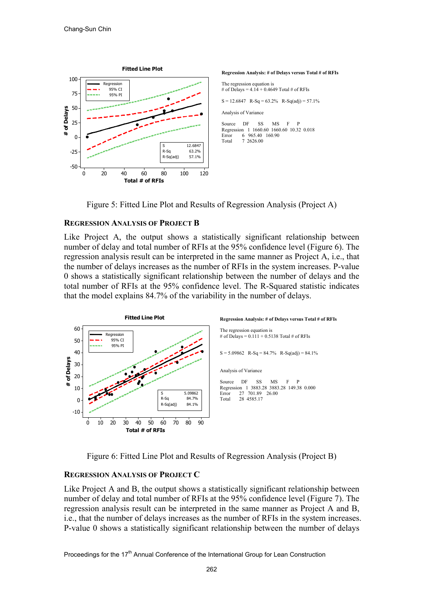





# **REGRESSION ANALYSIS OF PROJECT B**

Like Project A, the output shows a statistically significant relationship between number of delay and total number of RFIs at the 95% confidence level (Figure 6). The regression analysis result can be interpreted in the same manner as Project A, i.e., that the number of delays increases as the number of RFIs in the system increases. P-value 0 shows a statistically significant relationship between the number of delays and the total number of RFIs at the 95% confidence level. The R-Squared statistic indicates that the model explains 84.7% of the variability in the number of delays.



Figure 6: Fitted Line Plot and Results of Regression Analysis (Project B)

# **REGRESSION ANALYSIS OF PROJECT C**

Like Project A and B, the output shows a statistically significant relationship between number of delay and total number of RFIs at the 95% confidence level (Figure 7). The regression analysis result can be interpreted in the same manner as Project A and B, i.e., that the number of delays increases as the number of RFIs in the system increases. P-value 0 shows a statistically significant relationship between the number of delays

Proceedings for the 17<sup>th</sup> Annual Conference of the International Group for Lean Construction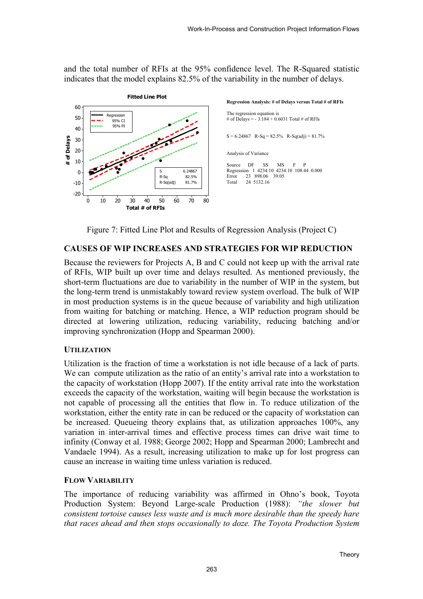and the total number of RFIs at the 95% confidence level. The R-Squared statistic indicates that the model explains 82.5% of the variability in the number of delays.



Figure 7: Fitted Line Plot and Results of Regression Analysis (Project C)

# **CAUSES OF WIP INCREASES AND STRATEGIES FOR WIP REDUCTION**

Because the reviewers for Projects A, B and C could not keep up with the arrival rate of RFIs, WIP built up over time and delays resulted. As mentioned previously, the short-term fluctuations are due to variability in the number of WIP in the system, but the long-term trend is unmistakably toward review system overload. The bulk of WIP in most production systems is in the queue because of variability and high utilization from waiting for batching or matching. Hence, a WIP reduction program should be directed at lowering utilization, reducing variability, reducing batching and/or improving synchronization (Hopp and Spearman 2000).

# **UTILIZATION**

Utilization is the fraction of time a workstation is not idle because of a lack of parts. We can compute utilization as the ratio of an entity's arrival rate into a workstation to the capacity of workstation (Hopp 2007). If the entity arrival rate into the workstation exceeds the capacity of the workstation, waiting will begin because the workstation is not capable of processing all the entities that flow in. To reduce utilization of the workstation, either the entity rate in can be reduced or the capacity of workstation can be increased. Queueing theory explains that, as utilization approaches 100%, any variation in inter-arrival times and effective process times can drive wait time to infinity (Conway et al. 1988; George 2002; Hopp and Spearman 2000; Lambrecht and Vandaele 1994). As a result, increasing utilization to make up for lost progress can cause an increase in waiting time unless variation is reduced.

# **FLOW VARIABILITY**

The importance of reducing variability was affirmed in Ohno's book, Toyota Production System: Beyond Large-scale Production (1988): *"the slower but consistent tortoise causes less waste and is much more desirable than the speedy hare that races ahead and then stops occasionally to doze. The Toyota Production System*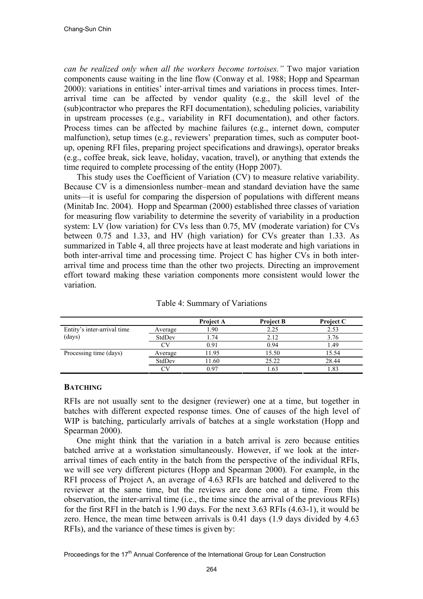*can be realized only when all the workers become tortoises."* Two major variation components cause waiting in the line flow (Conway et al. 1988; Hopp and Spearman 2000): variations in entities' inter-arrival times and variations in process times. Interarrival time can be affected by vendor quality (e.g., the skill level of the (sub)contractor who prepares the RFI documentation), scheduling policies, variability in upstream processes (e.g., variability in RFI documentation), and other factors. Process times can be affected by machine failures (e.g., internet down, computer malfunction), setup times (e.g., reviewers' preparation times, such as computer bootup, opening RFI files, preparing project specifications and drawings), operator breaks (e.g., coffee break, sick leave, holiday, vacation, travel), or anything that extends the time required to complete processing of the entity (Hopp 2007).

This study uses the Coefficient of Variation (CV) to measure relative variability. Because CV is a dimensionless number–mean and standard deviation have the same units—it is useful for comparing the dispersion of populations with different means (Minitab Inc. 2004). Hopp and Spearman (2000) established three classes of variation for measuring flow variability to determine the severity of variability in a production system: LV (low variation) for CVs less than 0.75, MV (moderate variation) for CVs between 0.75 and 1.33, and HV (high variation) for CVs greater than 1.33. As summarized in Table 4, all three projects have at least moderate and high variations in both inter-arrival time and processing time. Project C has higher CVs in both interarrival time and process time than the other two projects. Directing an improvement effort toward making these variation components more consistent would lower the variation.

|                             |         | Project A | <b>Project B</b> | <b>Project C</b> |
|-----------------------------|---------|-----------|------------------|------------------|
| Entity's inter-arrival time | Average | .90       | 2.25             | 2.53             |
| (days)                      | StdDev  | .74       | 2.12             | 3.76             |
|                             | ∩V      | 0.91      | 0.94             | 1.49             |
| Processing time (days)      | Average | 11.95     | 15.50            | 15.54            |
|                             | StdDev  | 11.60     | 25.22            | 28.44            |
|                             |         | 0.97      | .63              | l.83             |

Table 4: Summary of Variations

#### **BATCHING**

RFIs are not usually sent to the designer (reviewer) one at a time, but together in batches with different expected response times. One of causes of the high level of WIP is batching, particularly arrivals of batches at a single workstation (Hopp and Spearman 2000).

One might think that the variation in a batch arrival is zero because entities batched arrive at a workstation simultaneously. However, if we look at the interarrival times of each entity in the batch from the perspective of the individual RFIs, we will see very different pictures (Hopp and Spearman 2000). For example, in the RFI process of Project A, an average of 4.63 RFIs are batched and delivered to the reviewer at the same time, but the reviews are done one at a time. From this observation, the inter-arrival time (i.e., the time since the arrival of the previous RFIs) for the first RFI in the batch is 1.90 days. For the next 3.63 RFIs (4.63-1), it would be zero. Hence, the mean time between arrivals is 0.41 days (1.9 days divided by 4.63 RFIs), and the variance of these times is given by: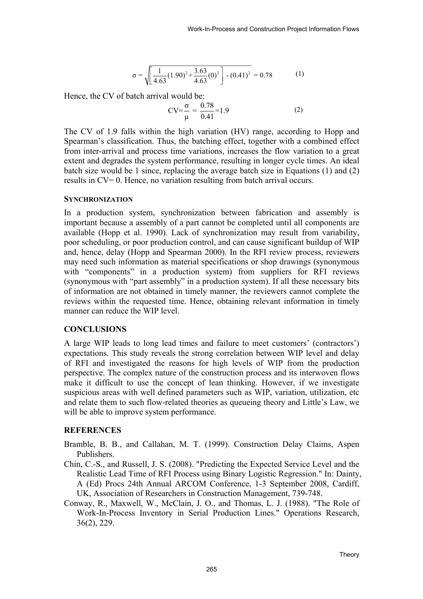$$
\sigma = \sqrt{\left[\frac{1}{4.63}(1.90)^2 + \frac{3.63}{4.63}(0)^2\right] - (0.41)^2} = 0.78\tag{1}
$$

Hence, the CV of batch arrival would be:

$$
CV = \frac{\sigma}{\mu} = \frac{0.78}{0.41} = 1.9
$$
 (2)

The CV of 1.9 falls within the high variation (HV) range, according to Hopp and Spearman's classification. Thus, the batching effect, together with a combined effect from inter-arrival and process time variations, increases the flow variation to a great extent and degrades the system performance, resulting in longer cycle times. An ideal batch size would be 1 since, replacing the average batch size in Equations (1) and (2) results in CV= 0. Hence, no variation resulting from batch arrival occurs.

#### **SYNCHRONIZATION**

In a production system, synchronization between fabrication and assembly is important because a assembly of a part cannot be completed until all components are available (Hopp et al. 1990). Lack of synchronization may result from variability, poor scheduling, or poor production control, and can cause significant buildup of WIP and, hence, delay (Hopp and Spearman 2000). In the RFI review process, reviewers may need such information as material specifications or shop drawings (synonymous with "components" in a production system) from suppliers for RFI reviews (synonymous with "part assembly" in a production system). If all these necessary bits of information are not obtained in timely manner, the reviewers cannot complete the reviews within the requested time. Hence, obtaining relevant information in timely manner can reduce the WIP level.

# **CONCLUSIONS**

A large WIP leads to long lead times and failure to meet customers' (contractors') expectations. This study reveals the strong correlation between WIP level and delay of RFI and investigated the reasons for high levels of WIP from the production perspective. The complex nature of the construction process and its interwoven flows make it difficult to use the concept of lean thinking. However, if we investigate suspicious areas with well defined parameters such as WIP, variation, utilization, etc and relate them to such flow-related theories as queueing theory and Little's Law, we will be able to improve system performance.

# **REFERENCES**

- Bramble, B. B., and Callahan, M. T. (1999). Construction Delay Claims, Aspen Publishers.
- Chin, C.-S., and Russell, J. S. (2008). "Predicting the Expected Service Level and the Realistic Lead Time of RFI Process using Binary Logistic Regression." In: Dainty, A (Ed) Procs 24th Annual ARCOM Conference, 1-3 September 2008, Cardiff, UK, Association of Researchers in Construction Management, 739-748.
- Conway, R., Maxwell, W., McClain, J. O., and Thomas, L. J. (1988). "The Role of Work-In-Process Inventory in Serial Production Lines." Operations Research, 36(2), 229.